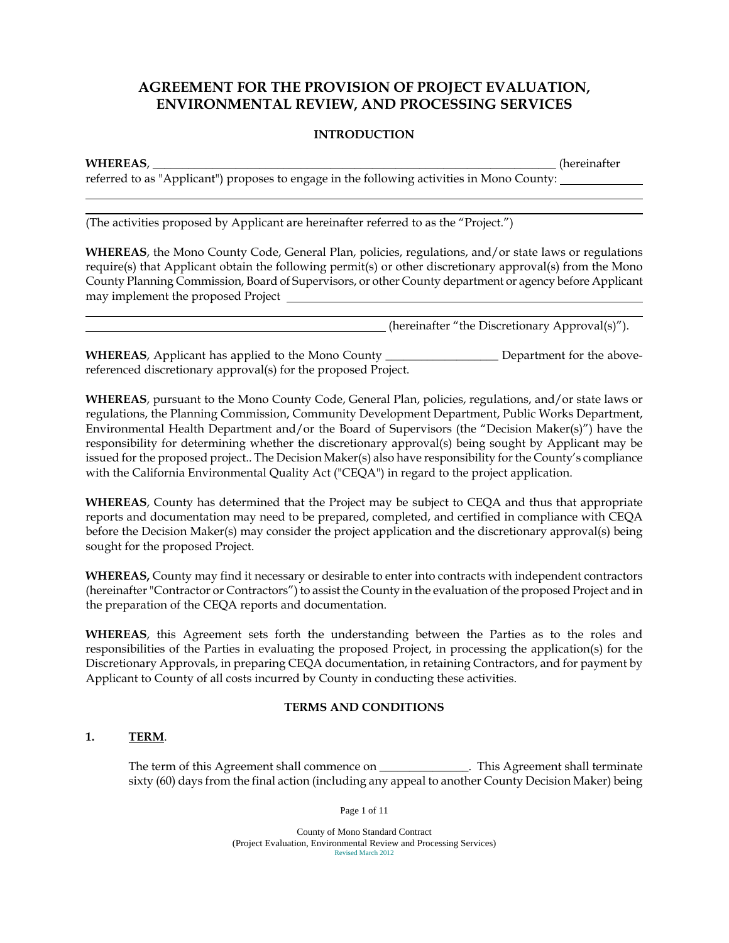# **AGREEMENT FOR THE PROVISION OF PROJECT EVALUATION, ENVIRONMENTAL REVIEW, AND PROCESSING SERVICES**

#### **INTRODUCTION**

l

l

**WHEREAS**, \_\_\_\_\_\_\_\_\_\_\_\_\_\_\_\_\_\_\_\_\_\_\_\_\_\_\_\_\_\_\_\_\_\_\_\_\_\_\_\_\_\_\_\_\_\_\_\_\_\_\_\_\_\_\_\_\_\_\_\_\_\_\_\_\_\_\_\_ (hereinafter

referred to as "Applicant") proposes to engage in the following activities in Mono County:

(The activities proposed by Applicant are hereinafter referred to as the "Project.")

**WHEREAS**, the Mono County Code, General Plan, policies, regulations, and/or state laws or regulations require(s) that Applicant obtain the following permit(s) or other discretionary approval(s) from the Mono County Planning Commission, Board of Supervisors, or other County department or agency before Applicant may implement the proposed Project

(hereinafter "the Discretionary Approval(s)").

**WHEREAS**, Applicant has applied to the Mono County **Leap and Separtment for the above**referenced discretionary approval(s) for the proposed Project.

**WHEREAS**, pursuant to the Mono County Code, General Plan, policies, regulations, and/or state laws or regulations, the Planning Commission, Community Development Department, Public Works Department, Environmental Health Department and/or the Board of Supervisors (the "Decision Maker(s)") have the responsibility for determining whether the discretionary approval(s) being sought by Applicant may be issued for the proposed project.. The Decision Maker(s) also have responsibility for the County's compliance with the California Environmental Quality Act ("CEQA") in regard to the project application.

**WHEREAS**, County has determined that the Project may be subject to CEQA and thus that appropriate reports and documentation may need to be prepared, completed, and certified in compliance with CEQA before the Decision Maker(s) may consider the project application and the discretionary approval(s) being sought for the proposed Project.

**WHEREAS,** County may find it necessary or desirable to enter into contracts with independent contractors (hereinafter "Contractor or Contractors") to assist the County in the evaluation of the proposed Project and in the preparation of the CEQA reports and documentation.

**WHEREAS**, this Agreement sets forth the understanding between the Parties as to the roles and responsibilities of the Parties in evaluating the proposed Project, in processing the application(s) for the Discretionary Approvals, in preparing CEQA documentation, in retaining Contractors, and for payment by Applicant to County of all costs incurred by County in conducting these activities.

## **TERMS AND CONDITIONS**

## **1. TERM**.

The term of this Agreement shall commence on \_\_\_\_\_\_\_\_\_\_\_\_\_. This Agreement shall terminate sixty (60) days from the final action (including any appeal to another County Decision Maker) being

Page 1 of 11

 County of Mono Standard Contract (Project Evaluation, Environmental Review and Processing Services)<br>Revised March 2012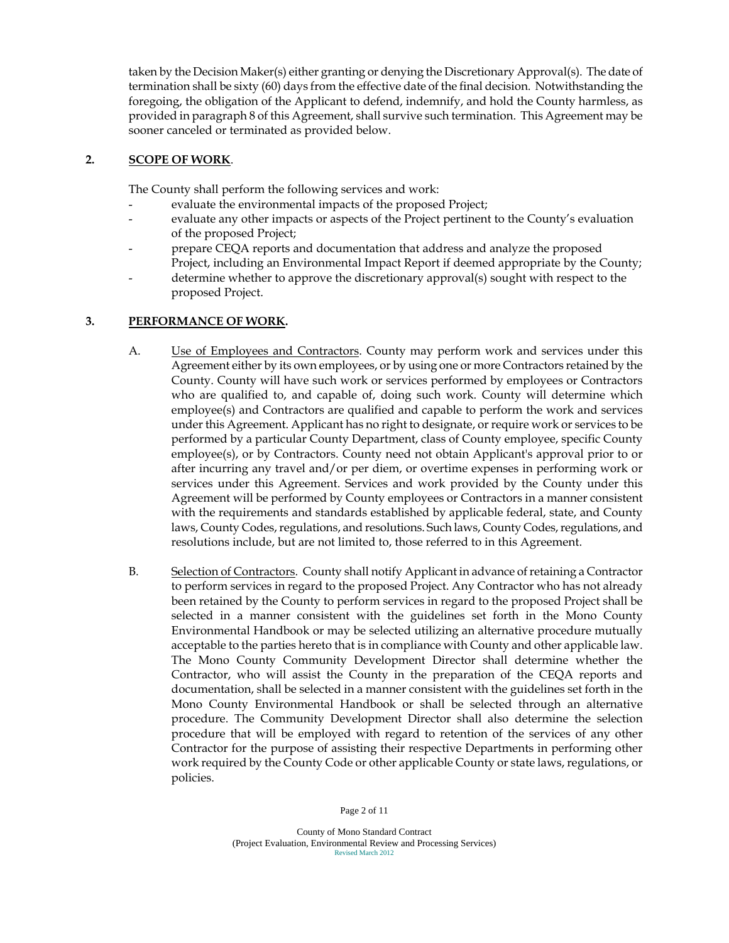taken by the Decision Maker(s) either granting or denying the Discretionary Approval(s). The date of termination shall be sixty (60) days from the effective date of the final decision. Notwithstanding the foregoing, the obligation of the Applicant to defend, indemnify, and hold the County harmless, as provided in paragraph 8 of this Agreement, shall survive such termination. This Agreement may be sooner canceled or terminated as provided below.

## **2. SCOPE OF WORK**.

The County shall perform the following services and work:

- evaluate the environmental impacts of the proposed Project;
- evaluate any other impacts or aspects of the Project pertinent to the County's evaluation of the proposed Project;
- prepare CEQA reports and documentation that address and analyze the proposed Project, including an Environmental Impact Report if deemed appropriate by the County;
- determine whether to approve the discretionary approval(s) sought with respect to the proposed Project.

#### **3. PERFORMANCE OF WORK.**

- A. Use of Employees and Contractors. County may perform work and services under this Agreement either by its own employees, or by using one or more Contractors retained by the County. County will have such work or services performed by employees or Contractors who are qualified to, and capable of, doing such work. County will determine which employee(s) and Contractors are qualified and capable to perform the work and services under this Agreement. Applicant has no right to designate, or require work or services to be performed by a particular County Department, class of County employee, specific County employee(s), or by Contractors. County need not obtain Applicant's approval prior to or after incurring any travel and/or per diem, or overtime expenses in performing work or services under this Agreement. Services and work provided by the County under this Agreement will be performed by County employees or Contractors in a manner consistent with the requirements and standards established by applicable federal, state, and County laws, County Codes, regulations, and resolutions. Such laws, County Codes, regulations, and resolutions include, but are not limited to, those referred to in this Agreement.
- B. Selection of Contractors. County shall notify Applicant in advance of retaining a Contractor to perform services in regard to the proposed Project. Any Contractor who has not already been retained by the County to perform services in regard to the proposed Project shall be selected in a manner consistent with the guidelines set forth in the Mono County Environmental Handbook or may be selected utilizing an alternative procedure mutually acceptable to the parties hereto that is in compliance with County and other applicable law. The Mono County Community Development Director shall determine whether the Contractor, who will assist the County in the preparation of the CEQA reports and documentation, shall be selected in a manner consistent with the guidelines set forth in the Mono County Environmental Handbook or shall be selected through an alternative procedure. The Community Development Director shall also determine the selection procedure that will be employed with regard to retention of the services of any other Contractor for the purpose of assisting their respective Departments in performing other work required by the County Code or other applicable County or state laws, regulations, or policies.

Page 2 of 11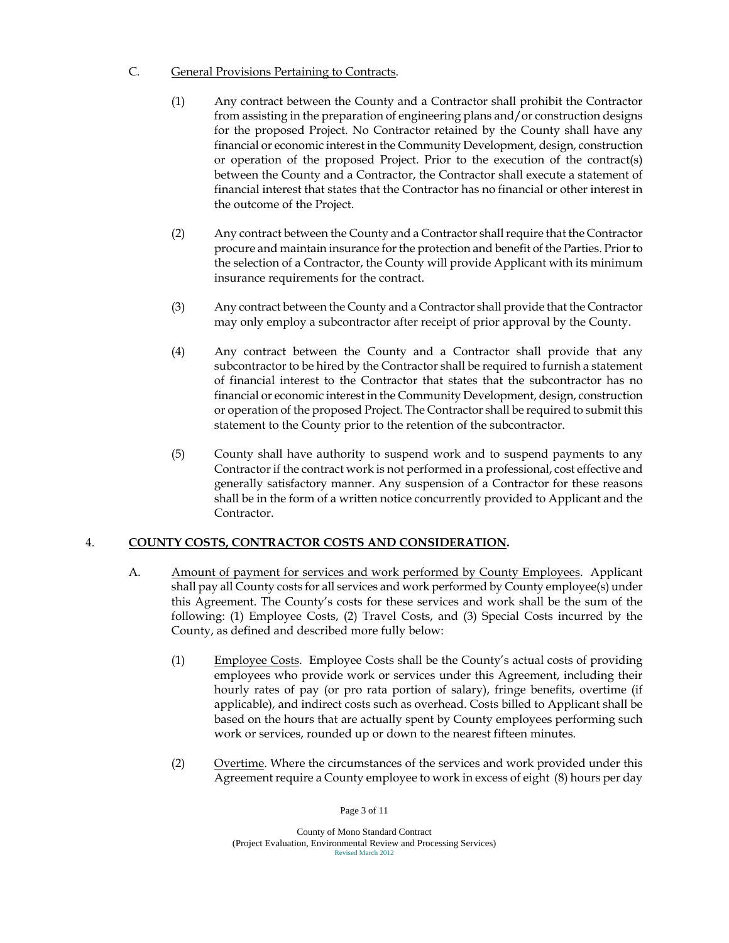- C. General Provisions Pertaining to Contracts.
	- (1) Any contract between the County and a Contractor shall prohibit the Contractor from assisting in the preparation of engineering plans and/or construction designs for the proposed Project. No Contractor retained by the County shall have any financial or economic interest in the Community Development, design, construction or operation of the proposed Project. Prior to the execution of the contract(s) between the County and a Contractor, the Contractor shall execute a statement of financial interest that states that the Contractor has no financial or other interest in the outcome of the Project.
	- (2) Any contract between the County and a Contractor shall require that the Contractor procure and maintain insurance for the protection and benefit of the Parties. Prior to the selection of a Contractor, the County will provide Applicant with its minimum insurance requirements for the contract.
	- (3) Any contract between the County and a Contractor shall provide that the Contractor may only employ a subcontractor after receipt of prior approval by the County.
	- (4) Any contract between the County and a Contractor shall provide that any subcontractor to be hired by the Contractor shall be required to furnish a statement of financial interest to the Contractor that states that the subcontractor has no financial or economic interest in the Community Development, design, construction or operation of the proposed Project. The Contractor shall be required to submit this statement to the County prior to the retention of the subcontractor.
	- (5) County shall have authority to suspend work and to suspend payments to any Contractor if the contract work is not performed in a professional, cost effective and generally satisfactory manner. Any suspension of a Contractor for these reasons shall be in the form of a written notice concurrently provided to Applicant and the Contractor.

## 4. **COUNTY COSTS, CONTRACTOR COSTS AND CONSIDERATION.**

- A. Amount of payment for services and work performed by County Employees. Applicant shall pay all County costs for all services and work performed by County employee(s) under this Agreement. The County's costs for these services and work shall be the sum of the following: (1) Employee Costs, (2) Travel Costs, and (3) Special Costs incurred by the County, as defined and described more fully below:
	- (1) Employee Costs. Employee Costs shall be the County's actual costs of providing employees who provide work or services under this Agreement, including their hourly rates of pay (or pro rata portion of salary), fringe benefits, overtime (if applicable), and indirect costs such as overhead. Costs billed to Applicant shall be based on the hours that are actually spent by County employees performing such work or services, rounded up or down to the nearest fifteen minutes.
	- (2) Overtime. Where the circumstances of the services and work provided under this Agreement require a County employee to work in excess of eight (8) hours per day

Page 3 of 11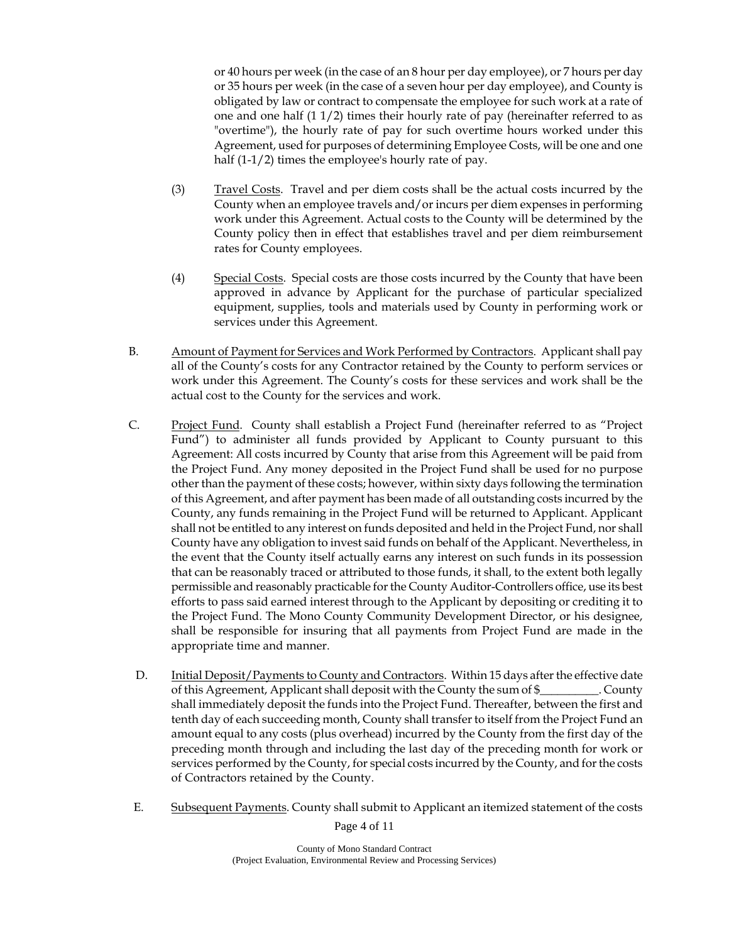or 40 hours per week (in the case of an 8 hour per day employee), or 7 hours per day or 35 hours per week (in the case of a seven hour per day employee), and County is obligated by law or contract to compensate the employee for such work at a rate of one and one half (1 1/2) times their hourly rate of pay (hereinafter referred to as "overtime"), the hourly rate of pay for such overtime hours worked under this Agreement, used for purposes of determining Employee Costs, will be one and one half (1-1/2) times the employee's hourly rate of pay.

- (3) Travel Costs. Travel and per diem costs shall be the actual costs incurred by the County when an employee travels and/or incurs per diem expenses in performing work under this Agreement. Actual costs to the County will be determined by the County policy then in effect that establishes travel and per diem reimbursement rates for County employees.
- (4) Special Costs. Special costs are those costs incurred by the County that have been approved in advance by Applicant for the purchase of particular specialized equipment, supplies, tools and materials used by County in performing work or services under this Agreement.
- B. Amount of Payment for Services and Work Performed by Contractors. Applicant shall pay all of the County's costs for any Contractor retained by the County to perform services or work under this Agreement. The County's costs for these services and work shall be the actual cost to the County for the services and work.
- C. Project Fund. County shall establish a Project Fund (hereinafter referred to as "Project Fund") to administer all funds provided by Applicant to County pursuant to this Agreement: All costs incurred by County that arise from this Agreement will be paid from the Project Fund. Any money deposited in the Project Fund shall be used for no purpose other than the payment of these costs; however, within sixty days following the termination of this Agreement, and after payment has been made of all outstanding costs incurred by the County, any funds remaining in the Project Fund will be returned to Applicant. Applicant shall not be entitled to any interest on funds deposited and held in the Project Fund, nor shall County have any obligation to invest said funds on behalf of the Applicant. Nevertheless, in the event that the County itself actually earns any interest on such funds in its possession that can be reasonably traced or attributed to those funds, it shall, to the extent both legally permissible and reasonably practicable for the County Auditor-Controllers office, use its best efforts to pass said earned interest through to the Applicant by depositing or crediting it to the Project Fund. The Mono County Community Development Director, or his designee, shall be responsible for insuring that all payments from Project Fund are made in the appropriate time and manner.
- D. Initial Deposit/Payments to County and Contractors. Within 15 days after the effective date of this Agreement, Applicant shall deposit with the County the sum of \$\_\_\_\_\_\_\_\_\_\_. County shall immediately deposit the funds into the Project Fund. Thereafter, between the first and tenth day of each succeeding month, County shall transfer to itself from the Project Fund an amount equal to any costs (plus overhead) incurred by the County from the first day of the preceding month through and including the last day of the preceding month for work or services performed by the County, for special costs incurred by the County, and for the costs of Contractors retained by the County.
- E. Subsequent Payments. County shall submit to Applicant an itemized statement of the costs

Page 4 of 11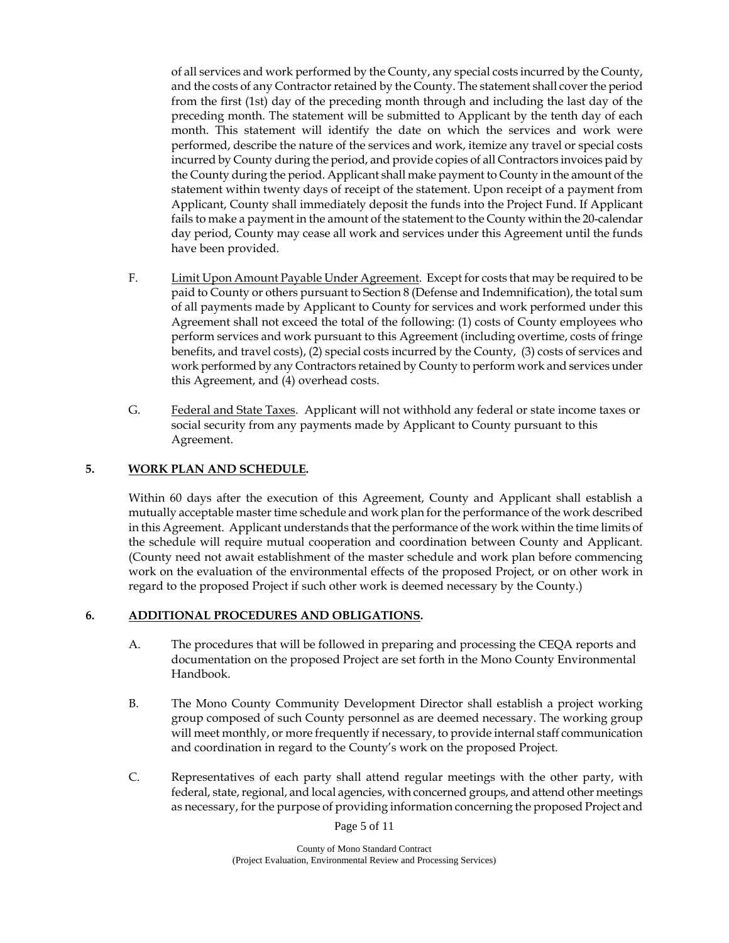of all services and work performed by the County, any special costs incurred by the County, and the costs of any Contractor retained by the County. The statement shall cover the period from the first (1st) day of the preceding month through and including the last day of the preceding month. The statement will be submitted to Applicant by the tenth day of each month. This statement will identify the date on which the services and work were performed, describe the nature of the services and work, itemize any travel or special costs incurred by County during the period, and provide copies of all Contractors invoices paid by the County during the period. Applicant shall make payment to County in the amount of the statement within twenty days of receipt of the statement. Upon receipt of a payment from Applicant, County shall immediately deposit the funds into the Project Fund. If Applicant fails to make a payment in the amount of the statement to the County within the 20-calendar day period, County may cease all work and services under this Agreement until the funds have been provided.

- F. Limit Upon Amount Payable Under Agreement. Except for costs that may be required to be paid to County or others pursuant to Section 8 (Defense and Indemnification), the total sum of all payments made by Applicant to County for services and work performed under this Agreement shall not exceed the total of the following: (1) costs of County employees who perform services and work pursuant to this Agreement (including overtime, costs of fringe benefits, and travel costs), (2) special costs incurred by the County, (3) costs of services and work performed by any Contractors retained by County to perform work and services under this Agreement, and (4) overhead costs.
- G. Federal and State Taxes. Applicant will not withhold any federal or state income taxes or social security from any payments made by Applicant to County pursuant to this Agreement.

#### **5. WORK PLAN AND SCHEDULE.**

Within 60 days after the execution of this Agreement, County and Applicant shall establish a mutually acceptable master time schedule and work plan for the performance of the work described in this Agreement. Applicant understands that the performance of the work within the time limits of the schedule will require mutual cooperation and coordination between County and Applicant. (County need not await establishment of the master schedule and work plan before commencing work on the evaluation of the environmental effects of the proposed Project, or on other work in regard to the proposed Project if such other work is deemed necessary by the County.)

## **6. ADDITIONAL PROCEDURES AND OBLIGATIONS.**

- A. The procedures that will be followed in preparing and processing the CEQA reports and documentation on the proposed Project are set forth in the Mono County Environmental Handbook.
- B. The Mono County Community Development Director shall establish a project working group composed of such County personnel as are deemed necessary. The working group will meet monthly, or more frequently if necessary, to provide internal staff communication and coordination in regard to the County's work on the proposed Project.
- C. Representatives of each party shall attend regular meetings with the other party, with federal, state, regional, and local agencies, with concerned groups, and attend other meetings as necessary, for the purpose of providing information concerning the proposed Project and

Page 5 of 11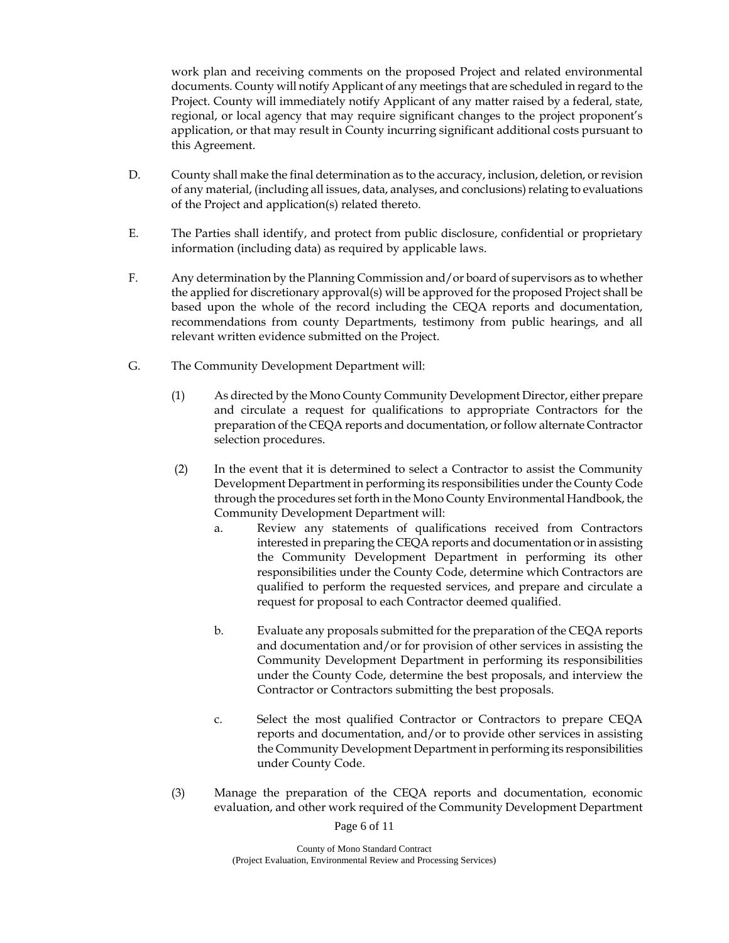work plan and receiving comments on the proposed Project and related environmental documents. County will notify Applicant of any meetings that are scheduled in regard to the Project. County will immediately notify Applicant of any matter raised by a federal, state, regional, or local agency that may require significant changes to the project proponent's application, or that may result in County incurring significant additional costs pursuant to this Agreement.

- D. County shall make the final determination as to the accuracy, inclusion, deletion, or revision of any material, (including all issues, data, analyses, and conclusions) relating to evaluations of the Project and application(s) related thereto.
- E. The Parties shall identify, and protect from public disclosure, confidential or proprietary information (including data) as required by applicable laws.
- F. Any determination by the Planning Commission and/or board of supervisors as to whether the applied for discretionary approval(s) will be approved for the proposed Project shall be based upon the whole of the record including the CEQA reports and documentation, recommendations from county Departments, testimony from public hearings, and all relevant written evidence submitted on the Project.
- G. The Community Development Department will:
	- (1) As directed by the Mono County Community Development Director, either prepare and circulate a request for qualifications to appropriate Contractors for the preparation of the CEQA reports and documentation, or follow alternate Contractor selection procedures.
	- (2) In the event that it is determined to select a Contractor to assist the Community Development Department in performing its responsibilities under the County Code through the procedures set forth in the Mono County Environmental Handbook, the Community Development Department will:
		- a. Review any statements of qualifications received from Contractors interested in preparing the CEQA reports and documentation or in assisting the Community Development Department in performing its other responsibilities under the County Code, determine which Contractors are qualified to perform the requested services, and prepare and circulate a request for proposal to each Contractor deemed qualified.
		- b. Evaluate any proposals submitted for the preparation of the CEQA reports and documentation and/or for provision of other services in assisting the Community Development Department in performing its responsibilities under the County Code, determine the best proposals, and interview the Contractor or Contractors submitting the best proposals.
		- c. Select the most qualified Contractor or Contractors to prepare CEQA reports and documentation, and/or to provide other services in assisting the Community Development Department in performing its responsibilities under County Code.
	- (3) Manage the preparation of the CEQA reports and documentation, economic evaluation, and other work required of the Community Development Department

Page 6 of 11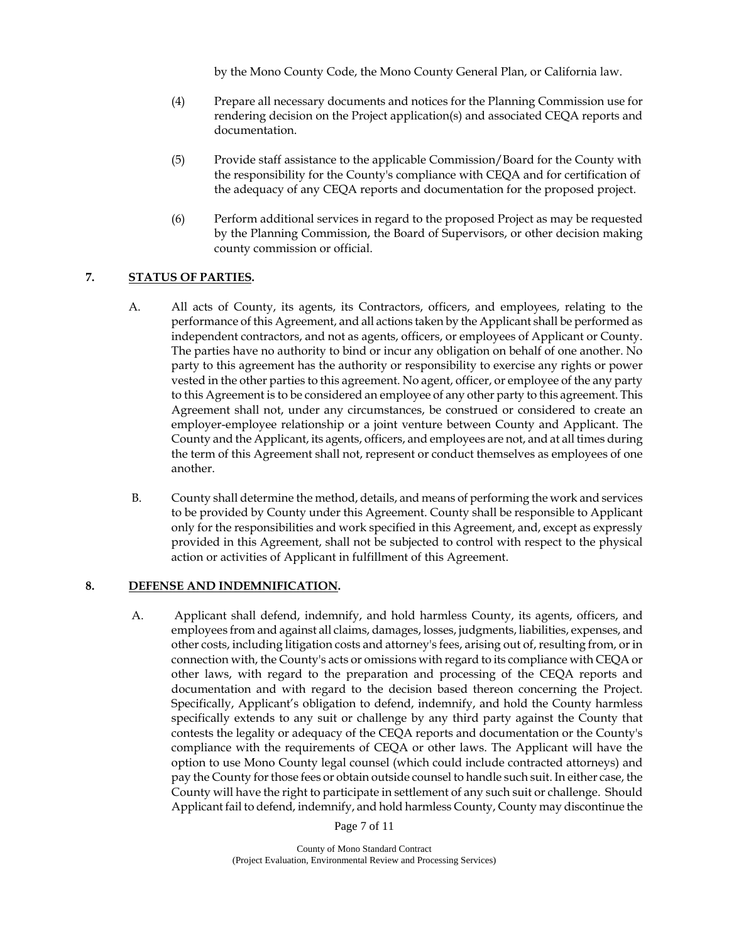by the Mono County Code, the Mono County General Plan, or California law.

- (4) Prepare all necessary documents and notices for the Planning Commission use for rendering decision on the Project application(s) and associated CEQA reports and documentation.
- (5) Provide staff assistance to the applicable Commission/Board for the County with the responsibility for the County's compliance with CEQA and for certification of the adequacy of any CEQA reports and documentation for the proposed project.
- (6) Perform additional services in regard to the proposed Project as may be requested by the Planning Commission, the Board of Supervisors, or other decision making county commission or official.

# **7. STATUS OF PARTIES.**

- A. All acts of County, its agents, its Contractors, officers, and employees, relating to the performance of this Agreement, and all actions taken by the Applicant shall be performed as independent contractors, and not as agents, officers, or employees of Applicant or County. The parties have no authority to bind or incur any obligation on behalf of one another. No party to this agreement has the authority or responsibility to exercise any rights or power vested in the other parties to this agreement. No agent, officer, or employee of the any party to this Agreement is to be considered an employee of any other party to this agreement. This Agreement shall not, under any circumstances, be construed or considered to create an employer-employee relationship or a joint venture between County and Applicant. The County and the Applicant, its agents, officers, and employees are not, and at all times during the term of this Agreement shall not, represent or conduct themselves as employees of one another.
- B. County shall determine the method, details, and means of performing the work and services to be provided by County under this Agreement. County shall be responsible to Applicant only for the responsibilities and work specified in this Agreement, and, except as expressly provided in this Agreement, shall not be subjected to control with respect to the physical action or activities of Applicant in fulfillment of this Agreement.

## **8. DEFENSE AND INDEMNIFICATION.**

 A. Applicant shall defend, indemnify, and hold harmless County, its agents, officers, and employees from and against all claims, damages, losses, judgments, liabilities, expenses, and other costs, including litigation costs and attorney's fees, arising out of, resulting from, or in connection with, the County's acts or omissions with regard to its compliance with CEQA or other laws, with regard to the preparation and processing of the CEQA reports and documentation and with regard to the decision based thereon concerning the Project. Specifically, Applicant's obligation to defend, indemnify, and hold the County harmless specifically extends to any suit or challenge by any third party against the County that contests the legality or adequacy of the CEQA reports and documentation or the County's compliance with the requirements of CEQA or other laws. The Applicant will have the option to use Mono County legal counsel (which could include contracted attorneys) and pay the County for those fees or obtain outside counsel to handle such suit. In either case, the County will have the right to participate in settlement of any such suit or challenge. Should Applicant fail to defend, indemnify, and hold harmless County, County may discontinue the

Page 7 of 11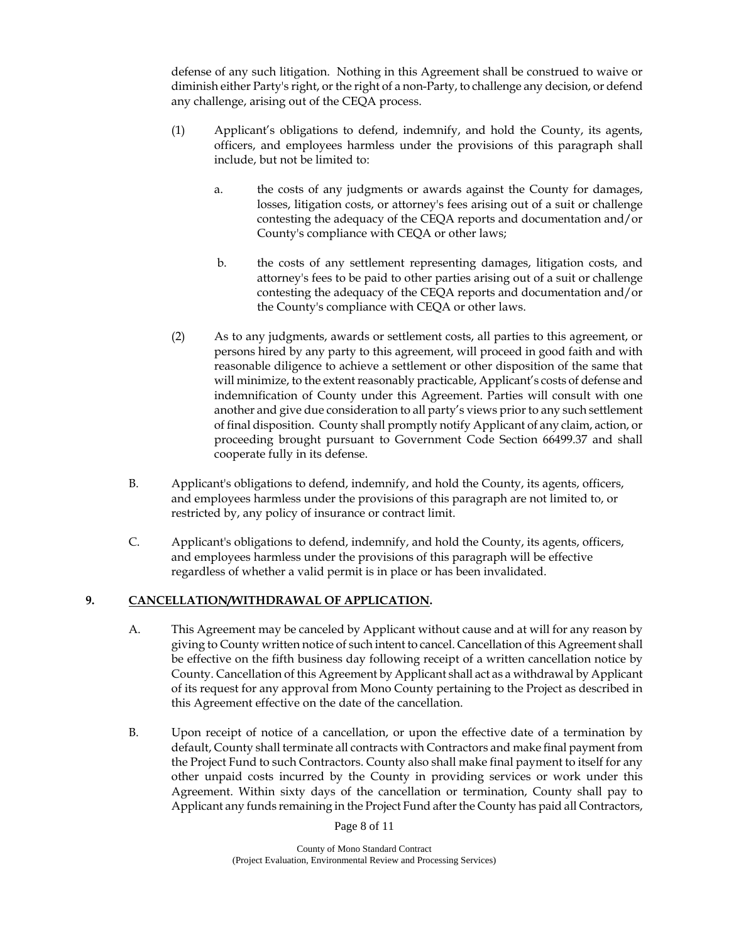defense of any such litigation. Nothing in this Agreement shall be construed to waive or diminish either Party's right, or the right of a non-Party, to challenge any decision, or defend any challenge, arising out of the CEQA process.

- (1) Applicant's obligations to defend, indemnify, and hold the County, its agents, officers, and employees harmless under the provisions of this paragraph shall include, but not be limited to:
	- a. the costs of any judgments or awards against the County for damages, losses, litigation costs, or attorney's fees arising out of a suit or challenge contesting the adequacy of the CEQA reports and documentation and/or County's compliance with CEQA or other laws;
	- b. the costs of any settlement representing damages, litigation costs, and attorney's fees to be paid to other parties arising out of a suit or challenge contesting the adequacy of the CEQA reports and documentation and/or the County's compliance with CEQA or other laws.
- (2) As to any judgments, awards or settlement costs, all parties to this agreement, or persons hired by any party to this agreement, will proceed in good faith and with reasonable diligence to achieve a settlement or other disposition of the same that will minimize, to the extent reasonably practicable, Applicant's costs of defense and indemnification of County under this Agreement. Parties will consult with one another and give due consideration to all party's views prior to any such settlement of final disposition. County shall promptly notify Applicant of any claim, action, or proceeding brought pursuant to Government Code Section 66499.37 and shall cooperate fully in its defense.
- B. Applicant's obligations to defend, indemnify, and hold the County, its agents, officers, and employees harmless under the provisions of this paragraph are not limited to, or restricted by, any policy of insurance or contract limit.
- C. Applicant's obligations to defend, indemnify, and hold the County, its agents, officers, and employees harmless under the provisions of this paragraph will be effective regardless of whether a valid permit is in place or has been invalidated.

## **9. CANCELLATION/WITHDRAWAL OF APPLICATION.**

- A. This Agreement may be canceled by Applicant without cause and at will for any reason by giving to County written notice of such intent to cancel. Cancellation of this Agreement shall be effective on the fifth business day following receipt of a written cancellation notice by County. Cancellation of this Agreement by Applicant shall act as a withdrawal by Applicant of its request for any approval from Mono County pertaining to the Project as described in this Agreement effective on the date of the cancellation.
- B. Upon receipt of notice of a cancellation, or upon the effective date of a termination by default, County shall terminate all contracts with Contractors and make final payment from the Project Fund to such Contractors. County also shall make final payment to itself for any other unpaid costs incurred by the County in providing services or work under this Agreement. Within sixty days of the cancellation or termination, County shall pay to Applicant any funds remaining in the Project Fund after the County has paid all Contractors,

Page 8 of 11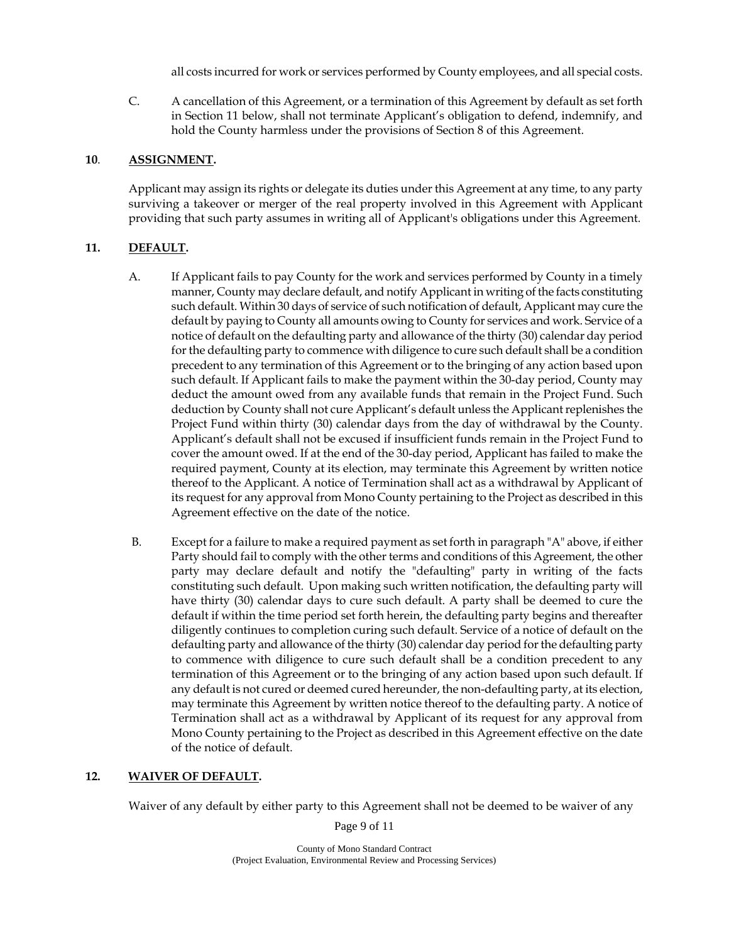all costs incurred for work or services performed by County employees, and all special costs.

C. A cancellation of this Agreement, or a termination of this Agreement by default as set forth in Section 11 below, shall not terminate Applicant's obligation to defend, indemnify, and hold the County harmless under the provisions of Section 8 of this Agreement.

#### **10**. **ASSIGNMENT.**

Applicant may assign its rights or delegate its duties under this Agreement at any time, to any party surviving a takeover or merger of the real property involved in this Agreement with Applicant providing that such party assumes in writing all of Applicant's obligations under this Agreement.

## **11. DEFAULT.**

- A. If Applicant fails to pay County for the work and services performed by County in a timely manner, County may declare default, and notify Applicant in writing of the facts constituting such default. Within 30 days of service of such notification of default, Applicant may cure the default by paying to County all amounts owing to County for services and work. Service of a notice of default on the defaulting party and allowance of the thirty (30) calendar day period for the defaulting party to commence with diligence to cure such default shall be a condition precedent to any termination of this Agreement or to the bringing of any action based upon such default. If Applicant fails to make the payment within the 30-day period, County may deduct the amount owed from any available funds that remain in the Project Fund. Such deduction by County shall not cure Applicant's default unless the Applicant replenishes the Project Fund within thirty (30) calendar days from the day of withdrawal by the County. Applicant's default shall not be excused if insufficient funds remain in the Project Fund to cover the amount owed. If at the end of the 30-day period, Applicant has failed to make the required payment, County at its election, may terminate this Agreement by written notice thereof to the Applicant. A notice of Termination shall act as a withdrawal by Applicant of its request for any approval from Mono County pertaining to the Project as described in this Agreement effective on the date of the notice.
- B. Except for a failure to make a required payment as set forth in paragraph "A" above, if either Party should fail to comply with the other terms and conditions of this Agreement, the other party may declare default and notify the "defaulting" party in writing of the facts constituting such default. Upon making such written notification, the defaulting party will have thirty (30) calendar days to cure such default. A party shall be deemed to cure the default if within the time period set forth herein, the defaulting party begins and thereafter diligently continues to completion curing such default. Service of a notice of default on the defaulting party and allowance of the thirty (30) calendar day period for the defaulting party to commence with diligence to cure such default shall be a condition precedent to any termination of this Agreement or to the bringing of any action based upon such default. If any default is not cured or deemed cured hereunder, the non-defaulting party, at its election, may terminate this Agreement by written notice thereof to the defaulting party. A notice of Termination shall act as a withdrawal by Applicant of its request for any approval from Mono County pertaining to the Project as described in this Agreement effective on the date of the notice of default.

## **12. WAIVER OF DEFAULT.**

Waiver of any default by either party to this Agreement shall not be deemed to be waiver of any

Page 9 of 11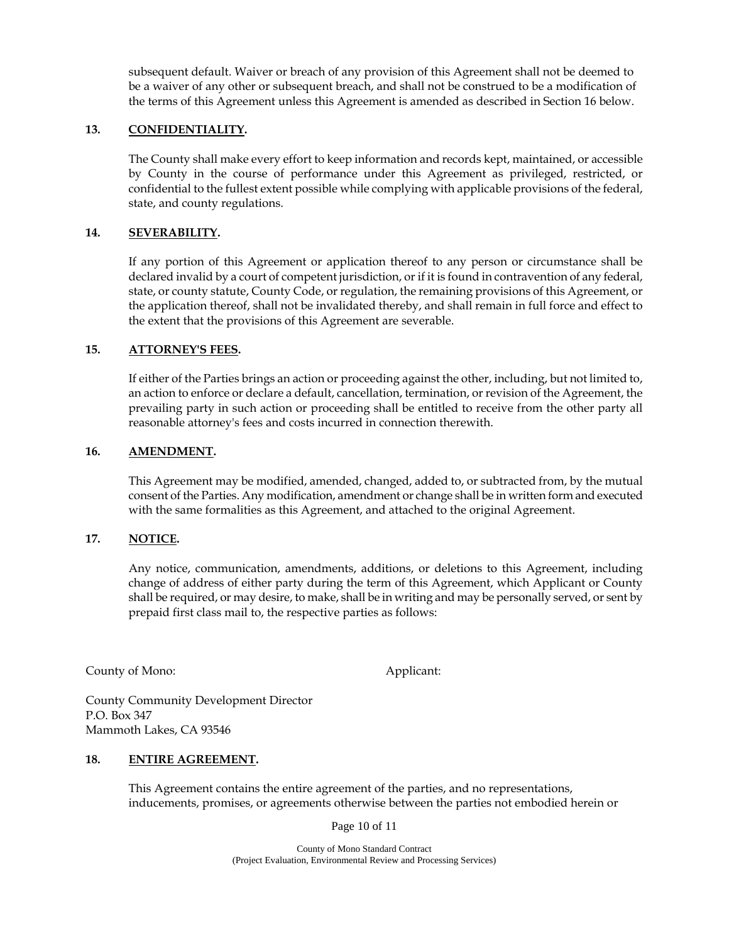subsequent default. Waiver or breach of any provision of this Agreement shall not be deemed to be a waiver of any other or subsequent breach, and shall not be construed to be a modification of the terms of this Agreement unless this Agreement is amended as described in Section 16 below.

#### **13. CONFIDENTIALITY.**

The County shall make every effort to keep information and records kept, maintained, or accessible by County in the course of performance under this Agreement as privileged, restricted, or confidential to the fullest extent possible while complying with applicable provisions of the federal, state, and county regulations.

#### **14. SEVERABILITY.**

If any portion of this Agreement or application thereof to any person or circumstance shall be declared invalid by a court of competent jurisdiction, or if it is found in contravention of any federal, state, or county statute, County Code, or regulation, the remaining provisions of this Agreement, or the application thereof, shall not be invalidated thereby, and shall remain in full force and effect to the extent that the provisions of this Agreement are severable.

#### **15. ATTORNEY'S FEES.**

If either of the Parties brings an action or proceeding against the other, including, but not limited to, an action to enforce or declare a default, cancellation, termination, or revision of the Agreement, the prevailing party in such action or proceeding shall be entitled to receive from the other party all reasonable attorney's fees and costs incurred in connection therewith.

#### **16. AMENDMENT.**

This Agreement may be modified, amended, changed, added to, or subtracted from, by the mutual consent of the Parties. Any modification, amendment or change shall be in written form and executed with the same formalities as this Agreement, and attached to the original Agreement.

#### **17. NOTICE.**

Any notice, communication, amendments, additions, or deletions to this Agreement, including change of address of either party during the term of this Agreement, which Applicant or County shall be required, or may desire, to make, shall be in writing and may be personally served, or sent by prepaid first class mail to, the respective parties as follows:

County of Mono: Applicant:

County Community Development Director P.O. Box 347 Mammoth Lakes, CA 93546

#### **18. ENTIRE AGREEMENT.**

This Agreement contains the entire agreement of the parties, and no representations, inducements, promises, or agreements otherwise between the parties not embodied herein or

Page 10 of 11

 County of Mono Standard Contract (Project Evaluation, Environmental Review and Processing Services)